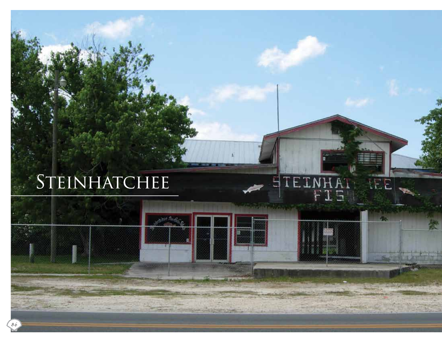# STEINHATCHEE

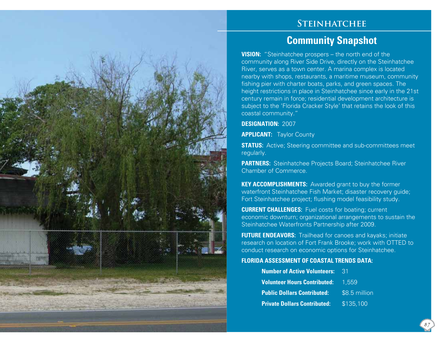## **Steinhatchee**

# **Community Snapshot**

**VISION:** "Steinhatchee prospers – the north end of the community along River Side Drive, directly on the Steinhatchee River, serves as a town center. A marina complex is located nearby with shops, restaurants, a maritime museum, community fishing pier with charter boats, parks, and green spaces. The height restrictions in place in Steinhatchee since early in the 21st century remain in force; residential development architecture is subject to the 'Florida Cracker Style' that retains the look of this coastal community."

#### **DESIGNATION:** 2007

**APPLICANT: Taylor County** 

**STATUS:** Active; Steering committee and sub-committees meet regularly.

**PARTNERS:** Steinhatchee Projects Board; Steinhatchee River Chamber of Commerce.

**KEY ACCOMPLISHMENTS:** Awarded grant to buy the former waterfront Steinhatchee Fish Market; disaster recovery guide; Fort Steinhatchee project; flushing model feasibility study.

**CURRENT CHALLENGES:** Fuel costs for boating; current economic downturn; organizational arrangements to sustain the Steinhatchee Waterfronts Partnership after 2009.

**FUTURE ENDEAVORS:** Trailhead for canoes and kayaks; initiate research on location of Fort Frank Brooke; work with OTTED to conduct research on economic options for Steinhatchee.

#### **FLORIDA ASSESSMENT OF COASTAL TRENDS DATA:**

| <b>Number of Active Volunteers:</b>       | -31           |
|-------------------------------------------|---------------|
| <b>Volunteer Hours Contributed:</b> 1,559 |               |
| <b>Public Dollars Contributed:</b>        | \$8.5 million |
| <b>Private Dollars Contributed:</b>       | \$135,100     |

87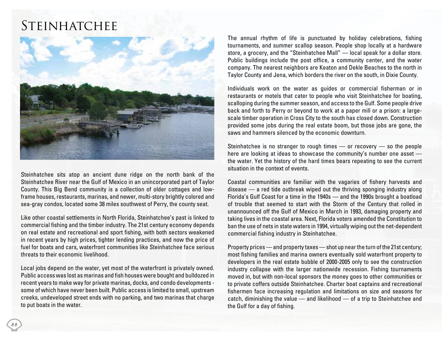# **STEINHATCHEE**



Steinhatchee sits atop an ancient dune ridge on the north bank of the Steinhatchee River near the Gulf of Mexico in an unincorporated part of Taylor County. This Big Bend community is a collection of older cottages and lowframe houses, restaurants, marinas, and newer, multi-story brightly colored and sea-gray condos, located some 38 miles southwest of Perry, the county seat.

Like other coastal settlements in North Florida, Steinhatchee's past is linked to commercial fishing and the timber industry. The 21st century economy depends on real estate and recreational and sport fishing, with both sectors weakened in recent years by high prices, tighter lending practices, and now the price of fuel for boats and cars, waterfront communities like Steinhatchee face serious threats to their economic livelihood.

Local jobs depend on the water, yet most of the waterfront is privately owned. Public access was lost as marinas and fish houses were bought and bulldozed in recent years to make way for private marinas, docks, and condo developments some of which have never been built. Public access is limited to small, upstream creeks, undeveloped street ends with no parking, and two marinas that charge to put boats in the water.

The annual rhythm of life is punctuated by holiday celebrations, fishing tournaments, and summer scallop season. People shop locally at a hardware store, a grocery, and the "Steinhatchee Mall" — local speak for a dollar store. Public buildings include the post office, a community center, and the water company. The nearest neighbors are Keaton and Dekle Beaches to the north in Taylor County and Jena, which borders the river on the south, in Dixie County.

Individuals work on the water as guides or commercial fisherman or in restaurants or motels that cater to people who visit Steinhatchee for boating, scalloping during the summer season, and access to the Gulf. Some people drive back and forth to Perry or beyond to work at a paper mill or a prison: a largescale timber operation in Cross City to the south has closed down. Construction provided some jobs during the real estate boom, but those jobs are gone, the saws and hammers silenced by the economic downturn.

Steinhatchee is no stranger to rough times — or recovery — so the people here are looking at ideas to showcase the community's number one asset the water. Yet the history of the hard times bears repeating to see the current situation in the context of events.

Coastal communities are familiar with the vagaries of fishery harvests and disease — a red tide outbreak wiped out the thriving sponging industry along Florida's Gulf Coast for a time in the 1940s — and the 1990s brought a boatload of trouble that seemed to start with the Storm of the Century that rolled in unannounced off the Gulf of Mexico in March in 1993, damaging property and taking lives in the coastal area. Next, Florida voters amended the Constitution to ban the use of nets in state waters in 1994, virtually wiping out the net-dependent commercial fishing industry in Steinhatchee.

Property prices — and property taxes — shot up near the turn of the 21st century; most fishing families and marina owners eventually sold waterfront property to developers in the real estate bubble of 2000-2005 only to see the construction industry collapse with the larger nationwide recession. Fishing tournaments moved in, but with non-local sponsors the money goes to other communities or to private coffers outside Steinhatchee. Charter boat captains and recreational fishermen face increasing regulation and limitations on size and seasons for catch, diminishing the value — and likelihood — of a trip to Steinhatchee and the Gulf for a day of fishing.